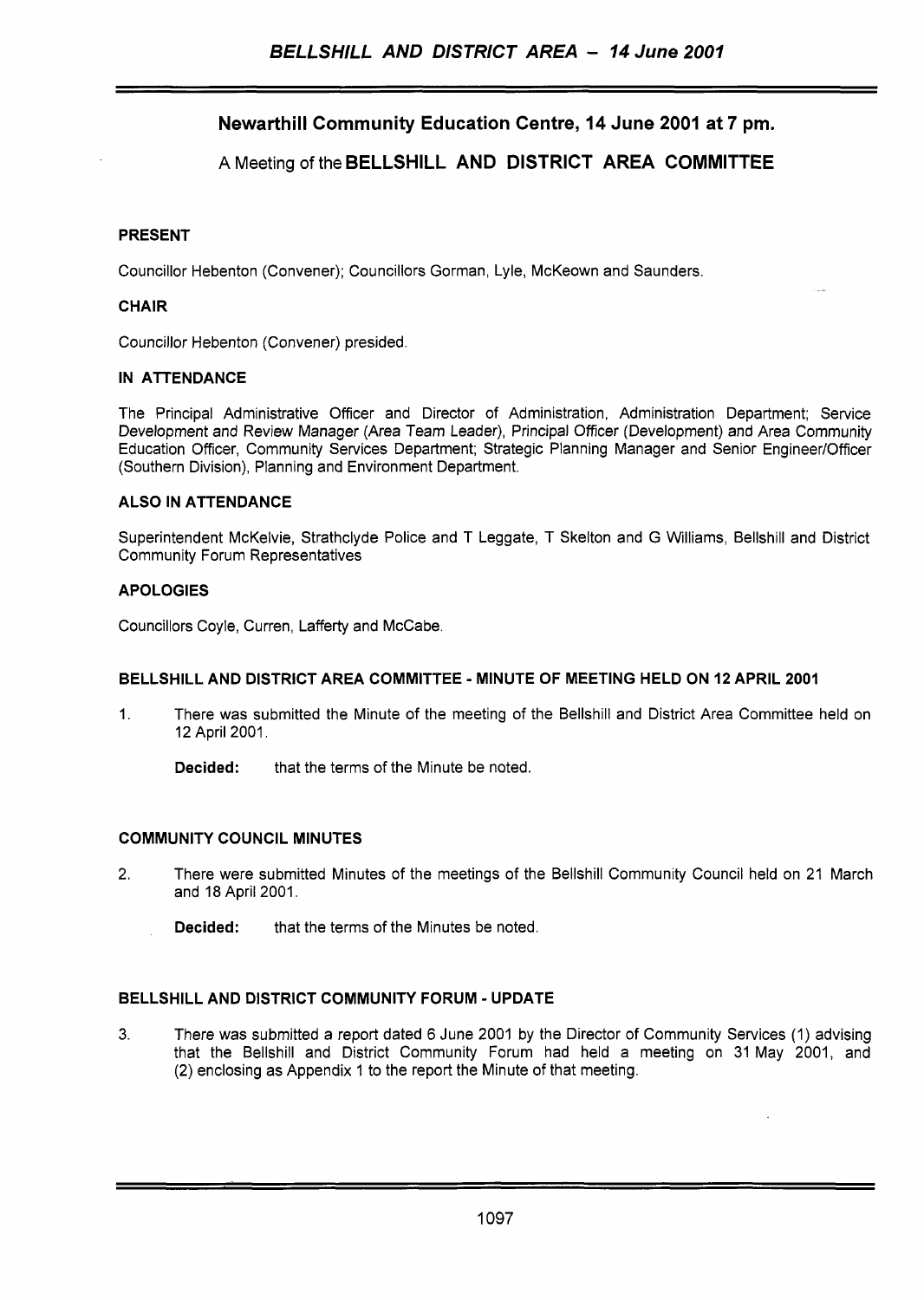## **Newarthill Community Education Centre, 14 June 2001 at 7 pm.**

## **A** Meeting of the **BELLSHILL AND DISTRICT AREA COMMITTEE**

#### **PRESENT**

Councillor Hebenton (Convener); Councillors Gorman, Lyle, McKeown and Saunders

#### **CHAIR**

Councillor Hebenton (Convener) presided

#### **IN ATTENDANCE**

The Principal Administrative Officer and Director of Administration, Administration Department; Service Development and Review Manager (Area Team Leader), Principal Officer (Development) and Area Community Education Officer, Community Services Department; Strategic Planning Manager and Senior Engineer/Officer (Southern Division), Planning and Environment Department.

#### **ALSO IN ATTENDANCE**

Superintendent McKelvie, Strathclyde Police and T Leggate, T Skelton and G Williams, Bellshill and District Community Forum Representatives

#### **APOLOGIES**

Councillors Coyle, Curren, Lafferty and McCabe.

#### **BELLSHILL AND DISTRICT AREA COMMITTEE** - **MINUTE OF MEETING HELD ON 12 APRIL 2001**

- 1. There was submitted the Minute of the meeting of the Bellshill and District Area Committee held on 12 April 2001.
	- **Decided:** that the terms of the Minute be noted.

#### **COMMUNITY COUNCIL MINUTES**

- 2. There were submitted Minutes of the meetings of the Bellshill Community Council held on 21 March and 18 April 2001.
	- **Decided:** that the terms of the Minutes be noted.

#### **BELLSHILL AND DISTRICT COMMUNITY FORUM** - **UPDATE**

**3.** There was submitted a report dated 6 June 2001 by the Director of Community Services (1) advising that the Bellshill and District Community Forum had held a meeting on 31 May 2001, and (2) enclosing as Appendix 1 to the report the Minute of that meeting.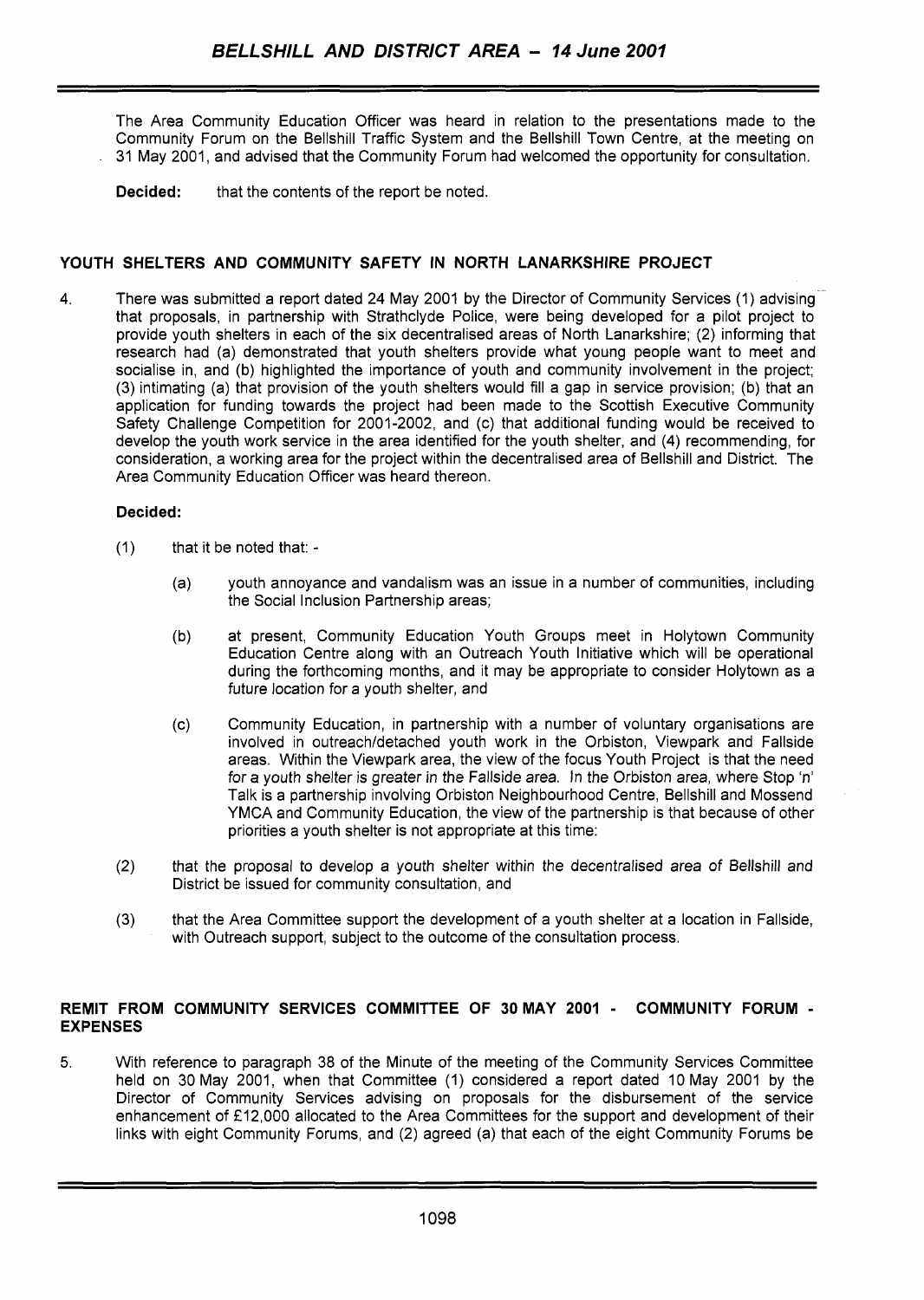The Area Community Education Officer was heard in relation to the presentations made to the Community Forum on the Bellshill Traffic System and the Bellshill Town Centre, at the meeting on 31 May 2001, and advised that the Community Forum had welcomed the opportunity for consultation.

**Decided:** that the contents of the report be noted.

## **YOUTH SHELTERS AND COMMUNITY SAFETY IN NORTH LANARKSHIRE PROJECT**

4. There was submitted a report dated 24 May 2001 by the Director of Community Services (1) advisingthat proposals, in partnership with Strathclyde Police, were being developed for a pilot project to provide youth shelters in each of the six decentralised areas of North Lanarkshire; (2) informing that research had (a) demonstrated that youth shelters provide what young people want to meet and socialise in, and (b) highlighted the importance of youth and community involvement in the project; (3) intimating (a) that provision of the youth shelters would fill a gap in service provision; (b) that an application for funding towards the project had been made to the Scottish Executive Community Safety Challenge Competition for 2001-2002, and (c) that additional funding would be received to develop the youth work service in the area identified for the youth shelter, and **(4)** recommending, for consideration, a working area for the project within the decentralised area of Bellshill and District. The Area Community Education Officer was heard thereon.

## **Decided:**

- (1) that it be noted that:
	- (a) youth annoyance and vandalism was an issue in a number of communities, including the Social Inclusion Partnership areas;
	- (b) at present, Community Education Youth Groups meet in Holytown Community Education Centre along with an Outreach Youth Initiative which will be operational during the forthcoming months, and it may be appropriate to consider Holytown as a future location for a youth shelter, and
	- (c) Community Education, in partnership with a number of voluntary organisations are involved in outreach/detached youth work in the Orbiston, Viewpark and Fallside areas. Within the Viewpark area, the view of the focus Youth Project is that the need for a youth shelter is greater in the Fallside area. In the Orbiston area, where Stop 'n' Talk is a partnership involving Orbiston Neighbourhood Centre, Bellshill and Mossend YMCA and Community Education, the view of the partnership is that because of other priorities a youth shelter is not appropriate at this time:
- (2) that the proposal to develop a youth shelter within the decentralised area of Bellshill and District be issued for community consultation, and
- (3) that the Area Committee support the development of a youth shelter at a location in Fallside, with Outreach support, subject to the outcome of the consultation process.

#### **REMIT FROM COMMUNITY SERVICES COMMITTEE OF 30MAY 2001** - **COMMUNITY FORUM** - **EXPENSES**

**5.** With reference to paragraph 38 of the Minute of the meeting of the Community Services Committee held on 30 May 2001, when that Committee (1) considered a report dated 10 May 2001 by the Director of Community Services advising on proposals for the disbursement of the service enhancement of **f** 12,000 allocated to the Area Committees for the support and development of their links with eight Community Forums, and (2) agreed (a) that each of the eight Community Forums be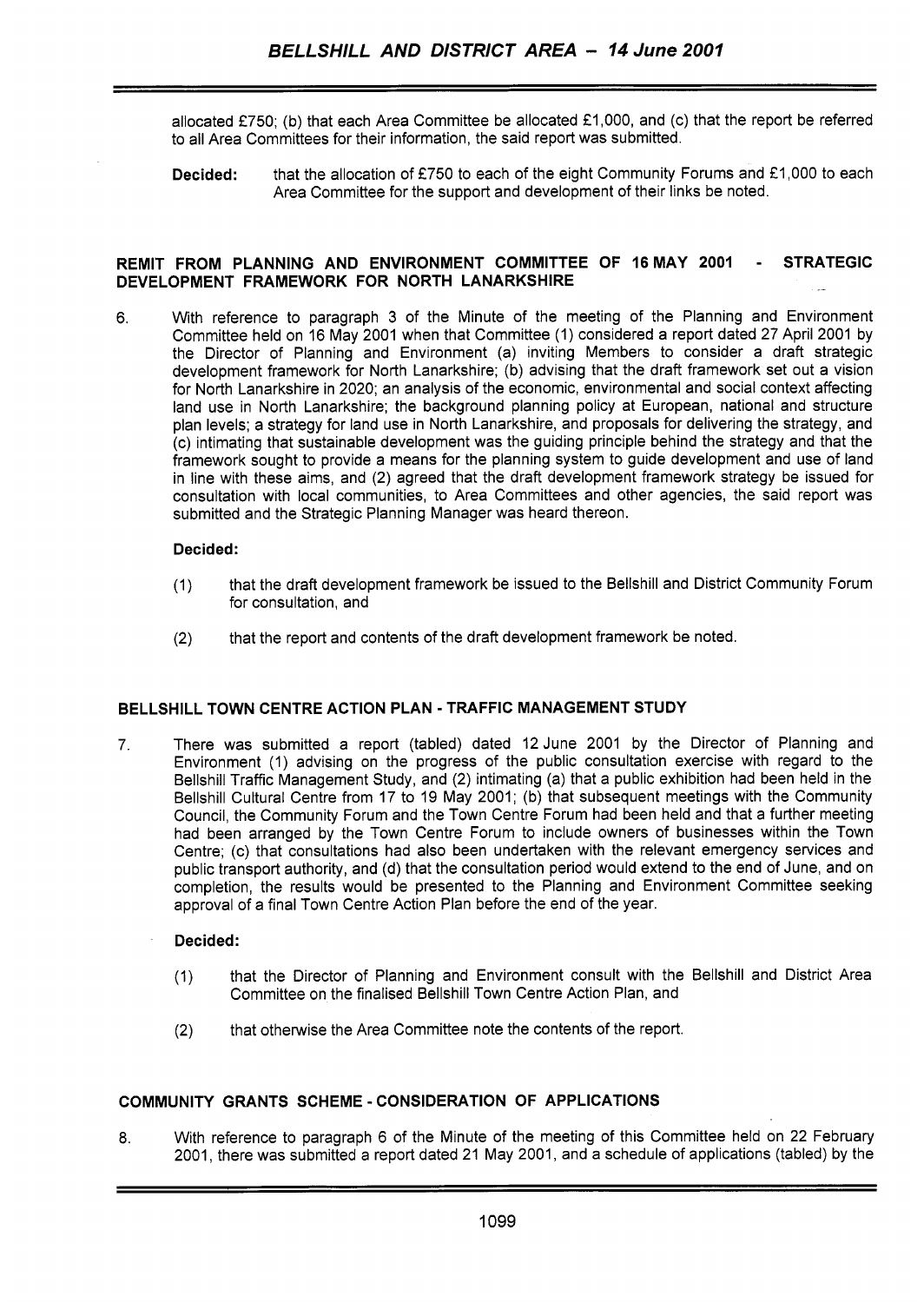allocated **€750;** (b) that each Area Committee be allocated €1,000, and (c) that the report be referred to all Area Committees for their information, the said report was submitted.

**Decided:** that the allocation of **f750** to each of the eight Community Forums and **€1,000** to each Area Committee for the support and development of their links be noted.

#### **REMIT FROM PLANNING AND ENVIRONMENT COMMITTEE OF 16MAY 2001** - **STRATEGIC DEVELOPMENT FRAMEWORK FOR NORTH LANARKSHIRE**

6. With reference to paragraph 3 of the Minute of the meeting of the Planning and Environment Committee held on 16 May **2001** when that Committee **(1)** considered a report dated **27** April **2001** by the Director of Planning and Environment (a) inviting Members to consider a draft strategic development framework for North Lanarkshire; (b) advising that the draft framework set out a vision for North Lanarkshire in **2020;** an analysis of the economic, environmental and social context affecting land use in North Lanarkshire; the background planning policy at European, national and structure plan levels; a strategy for land use in North Lanarkshire, and proposals for delivering the strategy, and (c) intimating that sustainable development was the guiding principle behind the strategy and that the framework sought to provide a means for the planning system to guide development and use of land in line with these aims, and **(2)** agreed that the draft development framework strategy be issued for consultation with local communities, to Area Committees and other agencies, the said report was submitted and the Strategic Planning Manager was heard thereon.

#### **Decided:**

- **(1)** that the draft development framework be issued to the Bellshill and District Community Forum for consultation, and
- **(2)** that the report and contents of the draft development framework be noted

#### **BELLSHILL TOWN CENTRE ACTION PLAN** - **TRAFFIC MANAGEMENT STUDY**

**7.** There was submitted a report (tabled) dated **12** June **2001** by the Director of Planning and Environment (1) advising on the progress of the public consultation exercise with regard to the Bellshill Traffic Management Study, and **(2)** intimating (a) that a public exhibition had been held in the Bellshill Cultural Centre from **17** to 19 May **2001;** (b) that subsequent meetings with the Community Council, the Community Forum and the Town Centre Forum had been held and that a further meeting had been arranged by the Town Centre Forum to include owners of businesses within the Town Centre; (c) that consultations had also been undertaken with the relevant emergency services and public transport authority, and **(d)** that the consultation period would extend to the end of June, and on completion, the results would be presented to the Planning and Environment Committee seeking approval of a final Town Centre Action Plan before the end of the year.

#### **Decided:**

- **(1)** that the Director of Planning and Environment consult with the Bellshill and District Area Committee on the finalised Bellshill Town Centre Action Plan, and
- **(2)** that otherwise the Area Committee note the contents of the report,

## **COMMUNITY GRANTS SCHEME** - **CONSIDERATION OF APPLICATIONS**

**8.** With reference to paragraph 6 of the Minute of the meeting of this Committee held on **22** February **2001,** there was submitted a report dated **21** May **2001,** and a schedule of applications (tabled) by the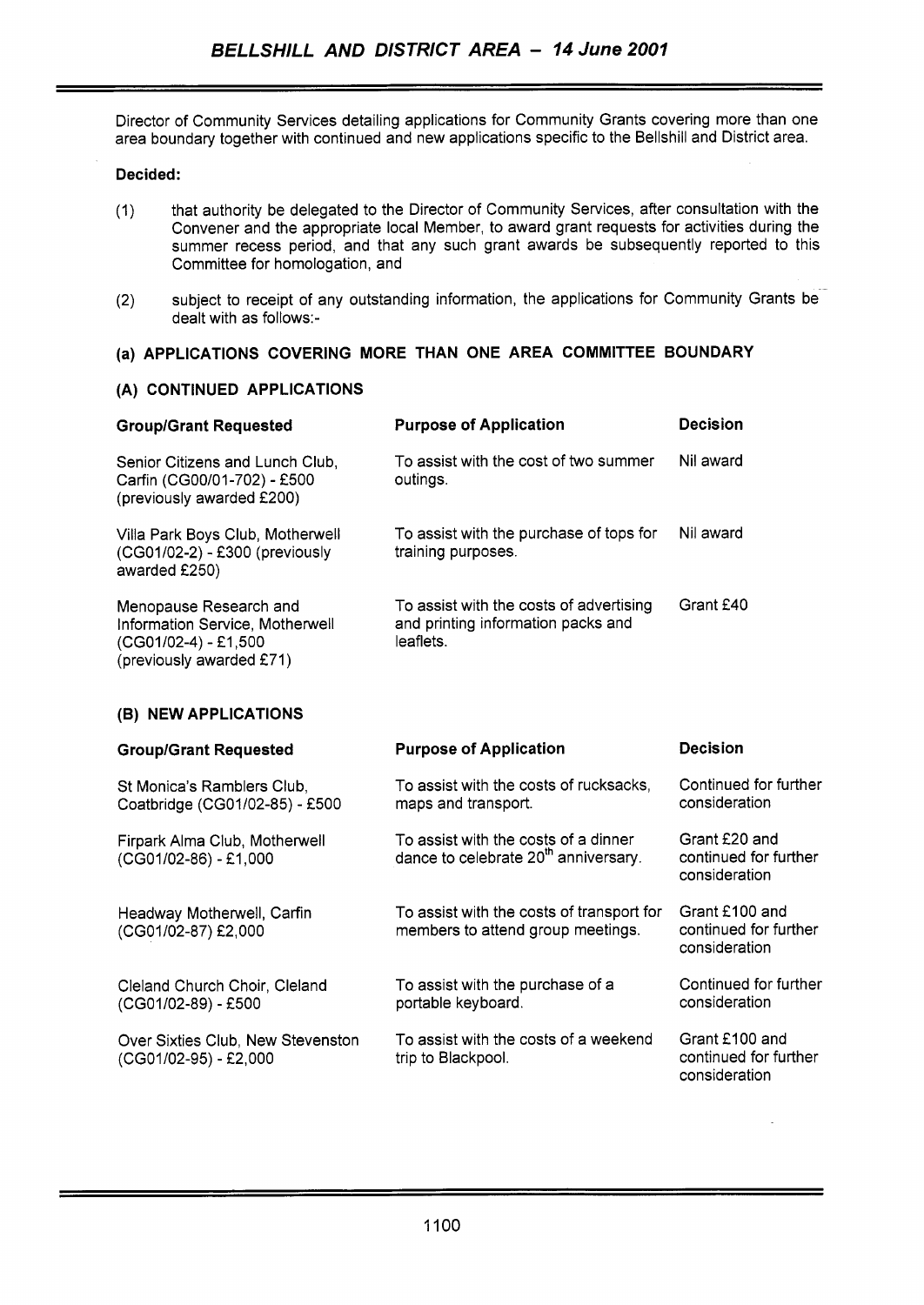Director of Community Services detailing applications for Community Grants covering more than one area boundary together with continued and new applications specific to the Bellshill and District area.

## **Decided:**

- (1) that authority be delegated to the Director of Community Services, after consultation with the Convener and the appropriate local Member, to award grant requests for activities during the summer recess period, and that any such grant awards be subsequently reported to this Committee for homologation, and
- subject to receipt of any outstanding information, the applications for Community Grants be (2) subject to receipt of a dealt with as follows:-

## **(a) APPLICATIONS COVERING MORE THAN ONE AREA COMMITTEE BOUNDARY**

## **(A) CONTINUED APPLICATIONS**

| <b>Group/Grant Requested</b>                                                                                    | <b>Purpose of Application</b>                                                              | Decision  |
|-----------------------------------------------------------------------------------------------------------------|--------------------------------------------------------------------------------------------|-----------|
| Senior Citizens and Lunch Club.<br>Carfin (CG00/01-702) - £500<br>(previously awarded £200)                     | To assist with the cost of two summer<br>outings.                                          | Nil award |
| Villa Park Boys Club, Motherwell<br>(CG01/02-2) - £300 (previously<br>awarded £250)                             | To assist with the purchase of tops for<br>training purposes.                              | Nil award |
| Menopause Research and<br>Information Service, Motherwell<br>$(CG01/02-4) - E1,500$<br>(previously awarded £71) | To assist with the costs of advertising<br>and printing information packs and<br>leaflets. | Grant £40 |

## **(B) NEW APPLICATIONS**

| <b>Group/Grant Requested</b>                                 | <b>Purpose of Application</b>                                                            | <b>Decision</b>                                          |
|--------------------------------------------------------------|------------------------------------------------------------------------------------------|----------------------------------------------------------|
| St Monica's Ramblers Club,<br>Coatbridge (CG01/02-85) - £500 | To assist with the costs of rucksacks,<br>maps and transport.                            | Continued for further<br>consideration                   |
| Firpark Alma Club, Motherwell<br>(CG01/02-86) - £1,000       | To assist with the costs of a dinner<br>dance to celebrate 20 <sup>th</sup> anniversary. | Grant £20 and<br>continued for further<br>consideration  |
| Headway Motherwell, Carfin<br>(CG01/02-87) £2,000            | To assist with the costs of transport for<br>members to attend group meetings.           | Grant £100 and<br>continued for further<br>consideration |
| Cleland Church Choir, Cleland<br>(CG01/02-89) - £500         | To assist with the purchase of a<br>portable keyboard.                                   | Continued for further<br>consideration                   |
| Over Sixties Club, New Stevenston<br>(CG01/02-95) - £2,000   | To assist with the costs of a weekend<br>trip to Blackpool.                              | Grant £100 and<br>continued for further<br>consideration |
|                                                              |                                                                                          |                                                          |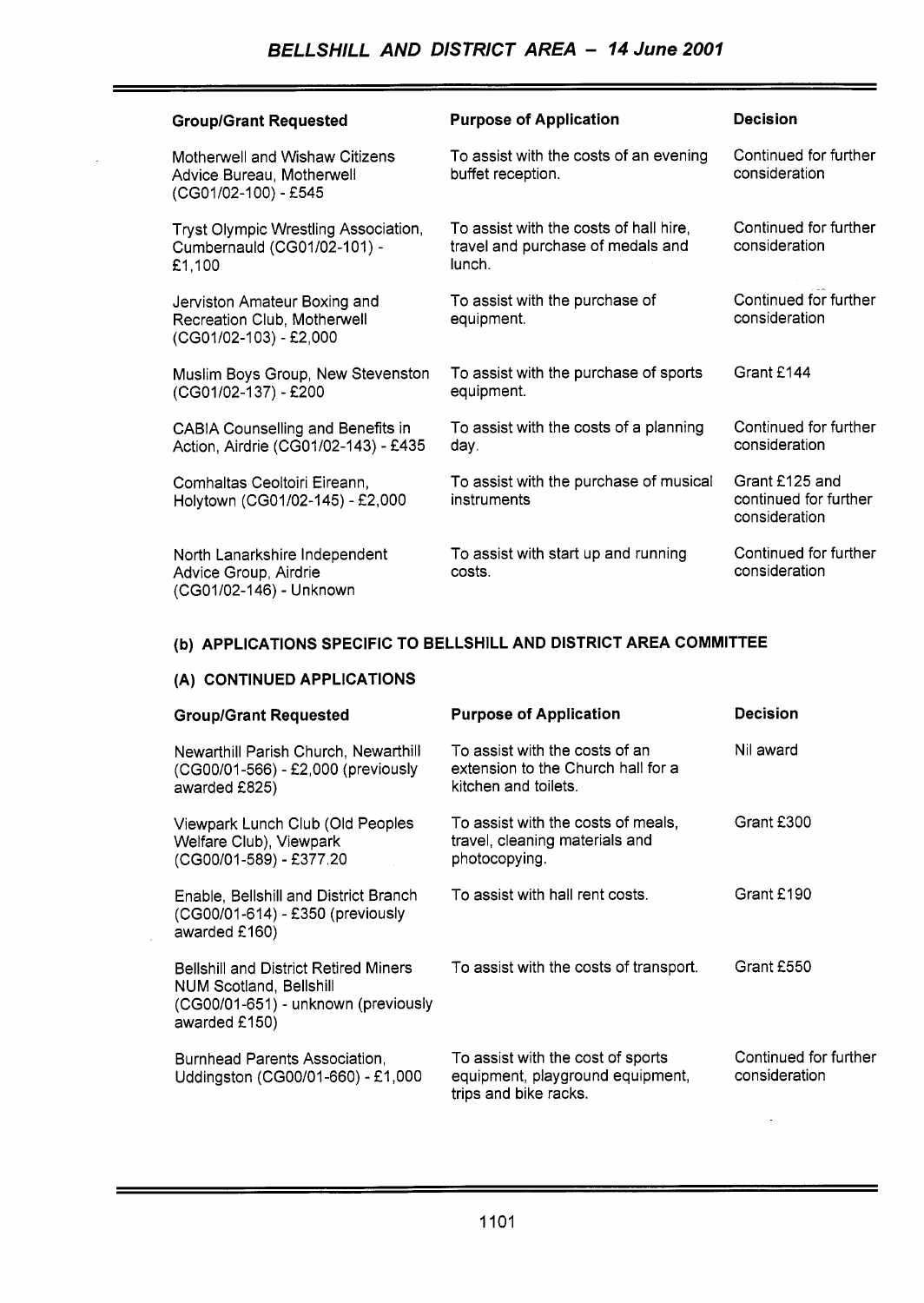<u> 1980 - Andrea Britain, actor a component de la componentación de la componentación de la componentación de l</u>

| <b>Group/Grant Requested</b>                                                          | <b>Purpose of Application</b>                                                         | <b>Decision</b>                                          |
|---------------------------------------------------------------------------------------|---------------------------------------------------------------------------------------|----------------------------------------------------------|
| Motherwell and Wishaw Citizens<br>Advice Bureau, Motherwell<br>(CG01/02-100) - £545   | To assist with the costs of an evening<br>buffet reception.                           | Continued for further<br>consideration                   |
| Tryst Olympic Wrestling Association,<br>Cumbernauld (CG01/02-101) -<br>£1,100         | To assist with the costs of hall hire,<br>travel and purchase of medals and<br>lunch. | Continued for further<br>consideration                   |
| Jerviston Amateur Boxing and<br>Recreation Club, Motherwell<br>(CG01/02-103) - £2,000 | To assist with the purchase of<br>equipment.                                          | Continued for further<br>consideration                   |
| Muslim Boys Group, New Stevenston<br>(CG01/02-137) - £200                             | To assist with the purchase of sports<br>equipment.                                   | Grant £144                                               |
| <b>CABIA Counselling and Benefits in</b><br>Action, Airdrie (CG01/02-143) - £435      | To assist with the costs of a planning<br>day.                                        | Continued for further<br>consideration                   |
| Comhaltas Ceoltoiri Eireann,<br>Holytown (CG01/02-145) - £2,000                       | To assist with the purchase of musical<br>instruments                                 | Grant £125 and<br>continued for further<br>consideration |
| North Lanarkshire Independent<br>Advice Group, Airdrie<br>(CG01/02-146) - Unknown     | To assist with start up and running<br>costs.                                         | Continued for further<br>consideration                   |

# **(b) APPLICATIONS SPECIFIC TO BELLSHILL AND DISTRICT AREA COMMITTEE**

## **(A) CONTINUED APPLICATIONS**

| <b>Group/Grant Requested</b>                                                                                                           | <b>Purpose of Application</b>                                                                  | <b>Decision</b>                        |
|----------------------------------------------------------------------------------------------------------------------------------------|------------------------------------------------------------------------------------------------|----------------------------------------|
| Newarthill Parish Church, Newarthill<br>(CG00/01-566) - £2,000 (previously<br>awarded £825)                                            | To assist with the costs of an<br>extension to the Church hall for a<br>kitchen and toilets.   | Nil award                              |
| Viewpark Lunch Club (Old Peoples<br>Welfare Club), Viewpark<br>(CG00/01-589) - £377.20                                                 | To assist with the costs of meals,<br>travel, cleaning materials and<br>photocopying.          | Grant £300                             |
| Enable, Bellshill and District Branch<br>(CG00/01-614) - £350 (previously<br>awarded £160)                                             | To assist with hall rent costs.                                                                | Grant £190                             |
| <b>Bellshill and District Retired Miners</b><br><b>NUM Scotland, Bellshill</b><br>(CG00/01-651) - unknown (previously<br>awarded £150) | To assist with the costs of transport.                                                         | Grant £550                             |
| Burnhead Parents Association,<br>Uddingston (CG00/01-660) - £1,000                                                                     | To assist with the cost of sports<br>equipment, playground equipment,<br>trips and bike racks. | Continued for further<br>consideration |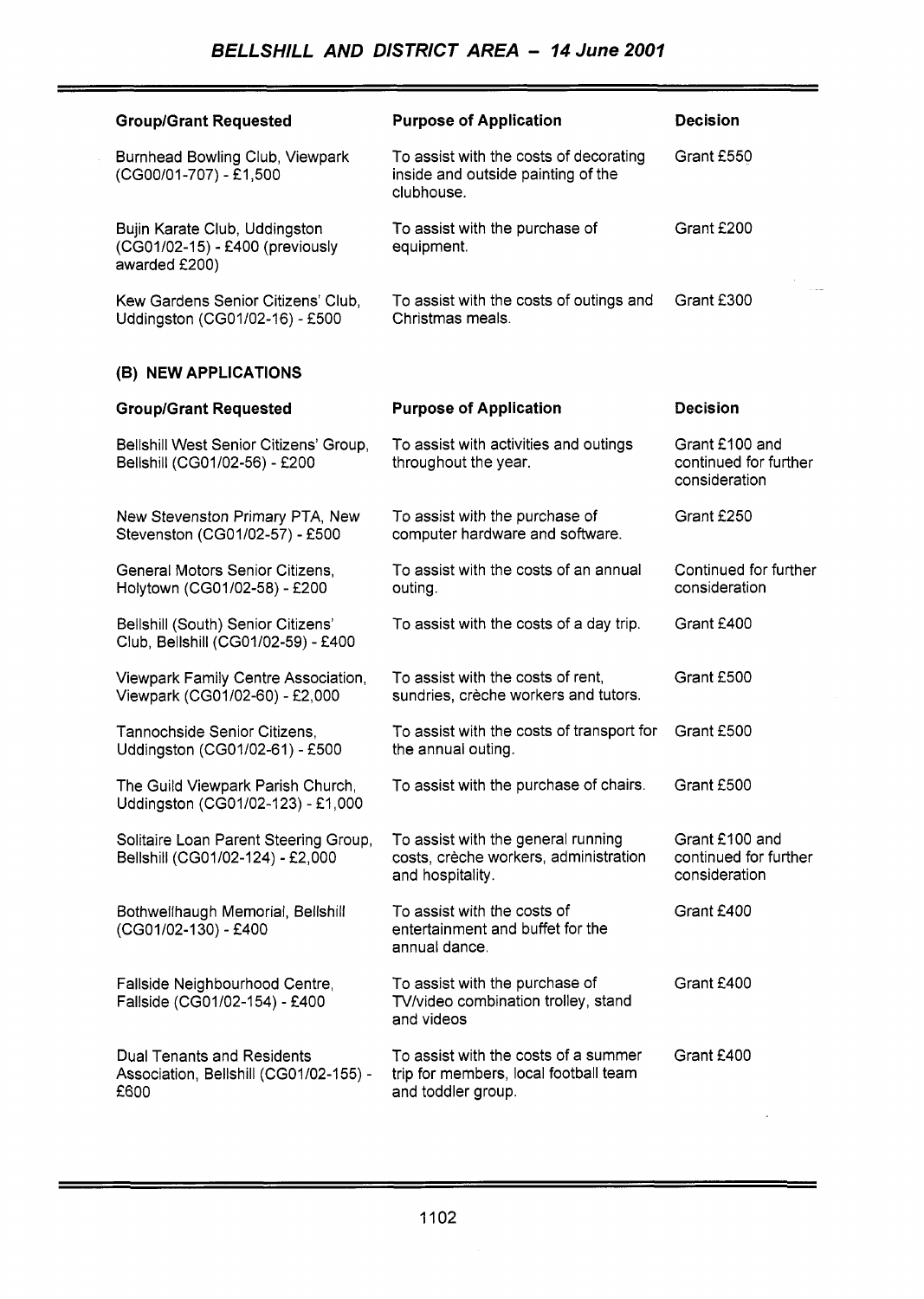an di sebagai pertama kepada kepada pada tahun 1992.<br>Pertama kepada pada tahun 1993 dan pada tahun 1993 dan bagian pada tahun 1993 dan bagian pada tahun 1993 dan p

 $\sim 10^{-10}$ 

Ξ

| <b>Group/Grant Requested</b>                                                        | <b>Purpose of Application</b>                                                                       | <b>Decision</b>                                          |
|-------------------------------------------------------------------------------------|-----------------------------------------------------------------------------------------------------|----------------------------------------------------------|
| Burnhead Bowling Club, Viewpark<br>(CG00/01-707) - £1,500                           | To assist with the costs of decorating<br>inside and outside painting of the<br>clubhouse.          | Grant £550                                               |
| Bujin Karate Club, Uddingston<br>(CG01/02-15) - £400 (previously<br>awarded £200)   | To assist with the purchase of<br>equipment.                                                        | Grant £200                                               |
| Kew Gardens Senior Citizens' Club,<br>Uddingston (CG01/02-16) - £500                | To assist with the costs of outings and<br>Christmas meals.                                         | Grant £300                                               |
| (B) NEW APPLICATIONS                                                                |                                                                                                     |                                                          |
| <b>Group/Grant Requested</b>                                                        | <b>Purpose of Application</b>                                                                       | <b>Decision</b>                                          |
| Bellshill West Senior Citizens' Group,<br>Bellshill (CG01/02-56) - £200             | To assist with activities and outings<br>throughout the year.                                       | Grant £100 and<br>continued for further<br>consideration |
| New Stevenston Primary PTA, New<br>Stevenston (CG01/02-57) - £500                   | To assist with the purchase of<br>computer hardware and software.                                   | Grant £250                                               |
| General Motors Senior Citizens,<br>Holytown (CG01/02-58) - £200                     | To assist with the costs of an annual<br>outing.                                                    | Continued for further<br>consideration                   |
| Bellshill (South) Senior Citizens'<br>Club, Bellshill (CG01/02-59) - £400           | To assist with the costs of a day trip.                                                             | Grant £400                                               |
| Viewpark Family Centre Association,<br>Viewpark (CG01/02-60) - £2,000               | To assist with the costs of rent,<br>sundries, crèche workers and tutors.                           | Grant £500                                               |
| Tannochside Senior Citizens,<br>Uddingston (CG01/02-61) - £500                      | To assist with the costs of transport for<br>the annual outing.                                     | Grant £500                                               |
| The Guild Viewpark Parish Church,<br>Uddingston (CG01/02-123) - £1,000              | To assist with the purchase of chairs.                                                              | Grant £500                                               |
| Solitaire Loan Parent Steering Group,<br>Bellshill (CG01/02-124) - £2,000           | To assist with the general running<br>costs, crèche workers, administration<br>and hospitality.     | Grant £100 and<br>continued for further<br>consideration |
| Bothwellhaugh Memorial, Bellshill<br>(CG01/02-130) - £400                           | To assist with the costs of<br>entertainment and buffet for the<br>annual dance.                    | Grant £400                                               |
| Fallside Neighbourhood Centre,<br>Fallside (CG01/02-154) - £400                     | To assist with the purchase of<br>TV/video combination trolley, stand<br>and videos                 | Grant £400                                               |
| <b>Dual Tenants and Residents</b><br>Association, Bellshill (CG01/02-155) -<br>£600 | To assist with the costs of a summer<br>trip for members, local football team<br>and toddler group. | Grant £400                                               |